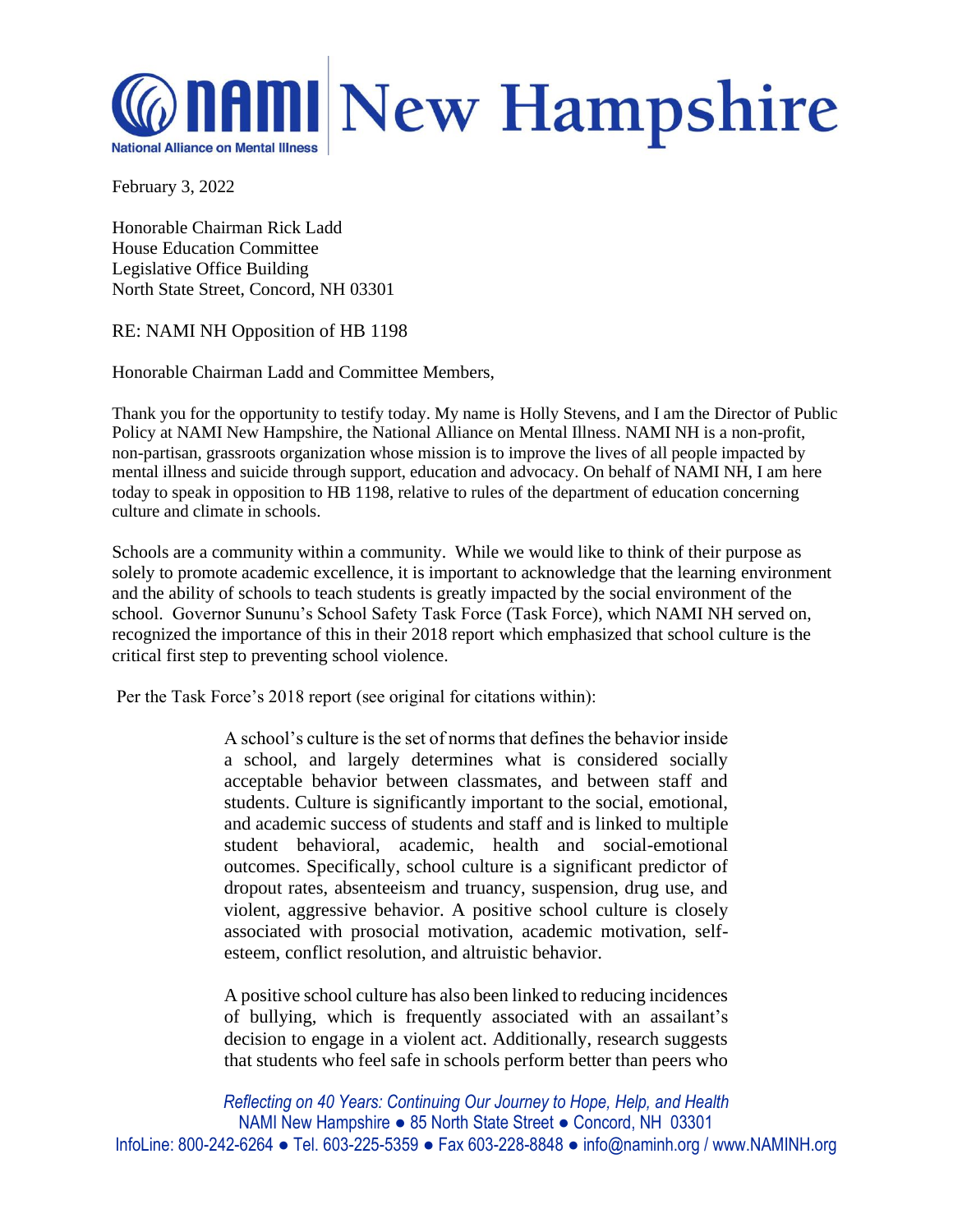

February 3, 2022

Honorable Chairman Rick Ladd House Education Committee Legislative Office Building North State Street, Concord, NH 03301

## RE: NAMI NH Opposition of HB 1198

Honorable Chairman Ladd and Committee Members,

Thank you for the opportunity to testify today. My name is Holly Stevens, and I am the Director of Public Policy at NAMI New Hampshire, the National Alliance on Mental Illness. NAMI NH is a non-profit, non-partisan, grassroots organization whose mission is to improve the lives of all people impacted by mental illness and suicide through support, education and advocacy. On behalf of NAMI NH, I am here today to speak in opposition to HB 1198, relative to rules of the department of education concerning culture and climate in schools.

Schools are a community within a community. While we would like to think of their purpose as solely to promote academic excellence, it is important to acknowledge that the learning environment and the ability of schools to teach students is greatly impacted by the social environment of the school. Governor Sununu's School Safety Task Force (Task Force), which NAMI NH served on, recognized the importance of this in their 2018 report which emphasized that school culture is the critical first step to preventing school violence.

Per the Task Force's 2018 report (see original for citations within):

A school's culture is the set of norms that defines the behavior inside a school, and largely determines what is considered socially acceptable behavior between classmates, and between staff and students. Culture is significantly important to the social, emotional, and academic success of students and staff and is linked to multiple student behavioral, academic, health and social-emotional outcomes. Specifically, school culture is a significant predictor of dropout rates, absenteeism and truancy, suspension, drug use, and violent, aggressive behavior. A positive school culture is closely associated with prosocial motivation, academic motivation, selfesteem, conflict resolution, and altruistic behavior.

A positive school culture has also been linked to reducing incidences of bullying, which is frequently associated with an assailant's decision to engage in a violent act. Additionally, research suggests that students who feel safe in schools perform better than peers who